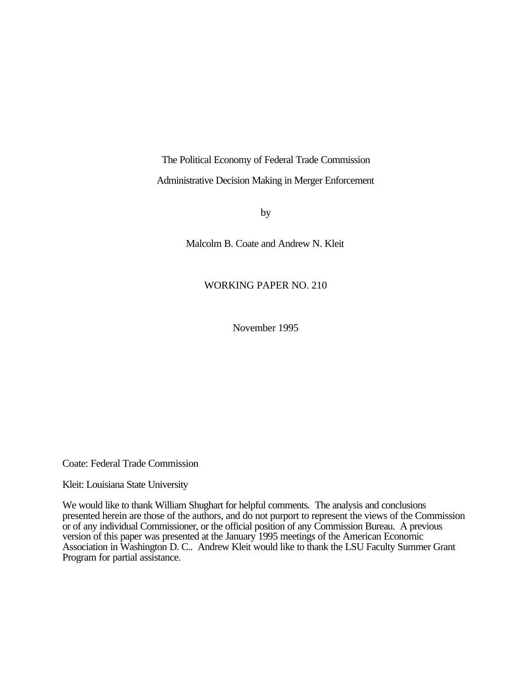The Political Economy of Federal Trade Commission Administrative Decision Making in Merger Enforcement

by

Malcolm B. Coate and Andrew N. Kleit

### WORKING PAPER NO. 210

November 1995

Coate: Federal Trade Commission

Kleit: Louisiana State University

We would like to thank William Shughart for helpful comments. The analysis and conclusions presented herein are those of the authors, and do not purport to represent the views of the Commission or of any individual Commissioner, or the official position of any Commission Bureau. A previous version of this paper was presented at the January 1995 meetings of the American Economic Association in Washington D. C.. Andrew Kleit would like to thank the LSU Faculty Summer Grant Program for partial assistance.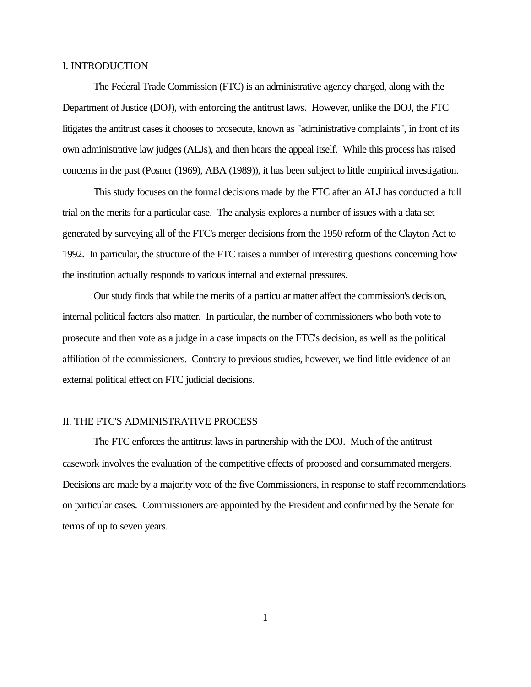### I. INTRODUCTION

The Federal Trade Commission (FTC) is an administrative agency charged, along with the Department of Justice (DOJ), with enforcing the antitrust laws. However, unlike the DOJ, the FTC litigates the antitrust cases it chooses to prosecute, known as "administrative complaints", in front of its own administrative law judges (ALJs), and then hears the appeal itself. While this process has raised concerns in the past (Posner (1969), ABA (1989)), it has been subject to little empirical investigation.

This study focuses on the formal decisions made by the FTC after an ALJ has conducted a full trial on the merits for a particular case. The analysis explores a number of issues with a data set generated by surveying all of the FTC's merger decisions from the 1950 reform of the Clayton Act to 1992. In particular, the structure of the FTC raises a number of interesting questions concerning how the institution actually responds to various internal and external pressures.

Our study finds that while the merits of a particular matter affect the commission's decision, internal political factors also matter. In particular, the number of commissioners who both vote to prosecute and then vote as a judge in a case impacts on the FTC's decision, as well as the political affiliation of the commissioners. Contrary to previous studies, however, we find little evidence of an external political effect on FTC judicial decisions.

#### II. THE FTC'S ADMINISTRATIVE PROCESS

The FTC enforces the antitrust laws in partnership with the DOJ. Much of the antitrust casework involves the evaluation of the competitive effects of proposed and consummated mergers. Decisions are made by a majority vote of the five Commissioners, in response to staff recommendations on particular cases. Commissioners are appointed by the President and confirmed by the Senate for terms of up to seven years.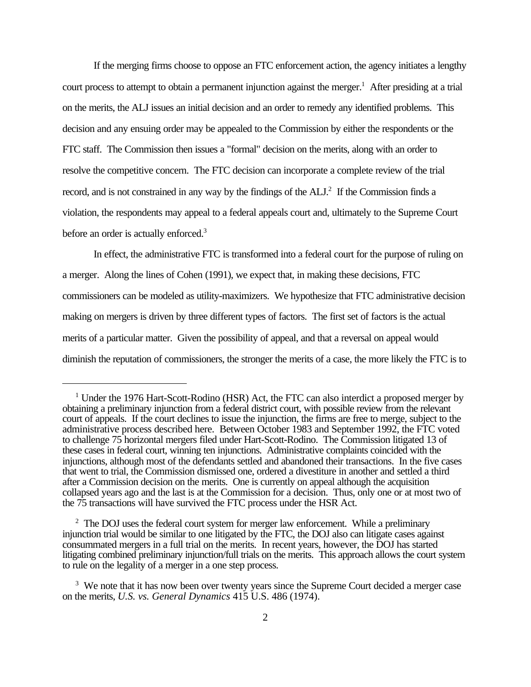If the merging firms choose to oppose an FTC enforcement action, the agency initiates a lengthy court process to attempt to obtain a permanent injunction against the merger.<sup>1</sup> After presiding at a trial on the merits, the ALJ issues an initial decision and an order to remedy any identified problems. This decision and any ensuing order may be appealed to the Commission by either the respondents or the FTC staff. The Commission then issues a "formal" decision on the merits, along with an order to resolve the competitive concern. The FTC decision can incorporate a complete review of the trial record, and is not constrained in any way by the findings of the ALJ.<sup>2</sup> If the Commission finds a violation, the respondents may appeal to a federal appeals court and, ultimately to the Supreme Court before an order is actually enforced.<sup>3</sup>

In effect, the administrative FTC is transformed into a federal court for the purpose of ruling on a merger. Along the lines of Cohen (1991), we expect that, in making these decisions, FTC commissioners can be modeled as utility-maximizers. We hypothesize that FTC administrative decision making on mergers is driven by three different types of factors. The first set of factors is the actual merits of a particular matter. Given the possibility of appeal, and that a reversal on appeal would diminish the reputation of commissioners, the stronger the merits of a case, the more likely the FTC is to

<sup>&</sup>lt;sup>1</sup> Under the 1976 Hart-Scott-Rodino (HSR) Act, the FTC can also interdict a proposed merger by obtaining a preliminary injunction from a federal district court, with possible review from the relevant court of appeals. If the court declines to issue the injunction, the firms are free to merge, subject to the administrative process described here. Between October 1983 and September 1992, the FTC voted to challenge 75 horizontal mergers filed under Hart-Scott-Rodino. The Commission litigated 13 of these cases in federal court, winning ten injunctions. Administrative complaints coincided with the injunctions, although most of the defendants settled and abandoned their transactions. In the five cases that went to trial, the Commission dismissed one, ordered a divestiture in another and settled a third after a Commission decision on the merits. One is currently on appeal although the acquisition collapsed years ago and the last is at the Commission for a decision. Thus, only one or at most two of the 75 transactions will have survived the FTC process under the HSR Act.

 $2$  The DOJ uses the federal court system for merger law enforcement. While a preliminary injunction trial would be similar to one litigated by the FTC, the DOJ also can litigate cases against consummated mergers in a full trial on the merits. In recent years, however, the DOJ has started litigating combined preliminary injunction/full trials on the merits. This approach allows the court system to rule on the legality of a merger in a one step process.

<sup>&</sup>lt;sup>3</sup> We note that it has now been over twenty years since the Supreme Court decided a merger case on the merits, *U.S. vs. General Dynamics* 415 U.S. 486 (1974).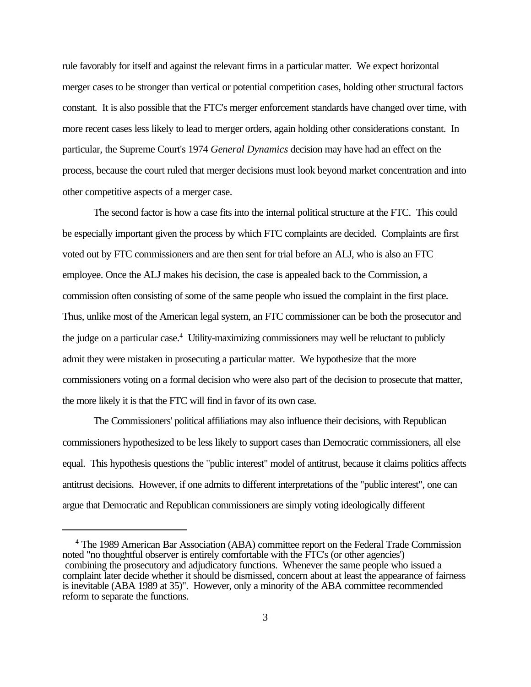rule favorably for itself and against the relevant firms in a particular matter. We expect horizontal merger cases to be stronger than vertical or potential competition cases, holding other structural factors constant. It is also possible that the FTC's merger enforcement standards have changed over time, with more recent cases less likely to lead to merger orders, again holding other considerations constant. In particular, the Supreme Court's 1974 *General Dynamics* decision may have had an effect on the process, because the court ruled that merger decisions must look beyond market concentration and into other competitive aspects of a merger case.

The second factor is how a case fits into the internal political structure at the FTC. This could be especially important given the process by which FTC complaints are decided. Complaints are first voted out by FTC commissioners and are then sent for trial before an ALJ, who is also an FTC employee. Once the ALJ makes his decision, the case is appealed back to the Commission, a commission often consisting of some of the same people who issued the complaint in the first place. Thus, unlike most of the American legal system, an FTC commissioner can be both the prosecutor and the judge on a particular case.<sup>4</sup> Utility-maximizing commissioners may well be reluctant to publicly admit they were mistaken in prosecuting a particular matter. We hypothesize that the more commissioners voting on a formal decision who were also part of the decision to prosecute that matter, the more likely it is that the FTC will find in favor of its own case.

The Commissioners' political affiliations may also influence their decisions, with Republican commissioners hypothesized to be less likely to support cases than Democratic commissioners, all else equal. This hypothesis questions the "public interest" model of antitrust, because it claims politics affects antitrust decisions. However, if one admits to different interpretations of the "public interest", one can argue that Democratic and Republican commissioners are simply voting ideologically different

<sup>&</sup>lt;sup>4</sup> The 1989 American Bar Association (ABA) committee report on the Federal Trade Commission noted "no thoughtful observer is entirely comfortable with the FTC's (or other agencies') combining the prosecutory and adjudicatory functions. Whenever the same people who issued a complaint later decide whether it should be dismissed, concern about at least the appearance of fairness is inevitable (ABA 1989 at 35)". However, only a minority of the ABA committee recommended reform to separate the functions.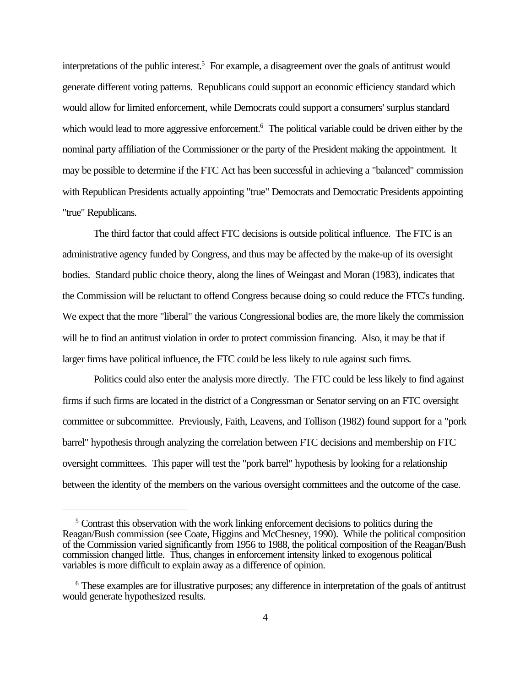interpretations of the public interest.<sup>5</sup> For example, a disagreement over the goals of antitrust would generate different voting patterns. Republicans could support an economic efficiency standard which would allow for limited enforcement, while Democrats could support a consumers' surplus standard which would lead to more aggressive enforcement.<sup>6</sup> The political variable could be driven either by the nominal party affiliation of the Commissioner or the party of the President making the appointment. It may be possible to determine if the FTC Act has been successful in achieving a "balanced" commission with Republican Presidents actually appointing "true" Democrats and Democratic Presidents appointing "true" Republicans.

The third factor that could affect FTC decisions is outside political influence. The FTC is an administrative agency funded by Congress, and thus may be affected by the make-up of its oversight bodies. Standard public choice theory, along the lines of Weingast and Moran (1983), indicates that the Commission will be reluctant to offend Congress because doing so could reduce the FTC's funding. We expect that the more "liberal" the various Congressional bodies are, the more likely the commission will be to find an antitrust violation in order to protect commission financing. Also, it may be that if larger firms have political influence, the FTC could be less likely to rule against such firms.

Politics could also enter the analysis more directly. The FTC could be less likely to find against firms if such firms are located in the district of a Congressman or Senator serving on an FTC oversight committee or subcommittee. Previously, Faith, Leavens, and Tollison (1982) found support for a "pork barrel" hypothesis through analyzing the correlation between FTC decisions and membership on FTC oversight committees. This paper will test the "pork barrel" hypothesis by looking for a relationship between the identity of the members on the various oversight committees and the outcome of the case.

<sup>&</sup>lt;sup>5</sup> Contrast this observation with the work linking enforcement decisions to politics during the Reagan/Bush commission (see Coate, Higgins and McChesney, 1990). While the political composition of the Commission varied significantly from 1956 to 1988, the political composition of the Reagan/Bush commission changed little. Thus, changes in enforcement intensity linked to exogenous political variables is more difficult to explain away as a difference of opinion.

<sup>&</sup>lt;sup>6</sup> These examples are for illustrative purposes; any difference in interpretation of the goals of antitrust would generate hypothesized results.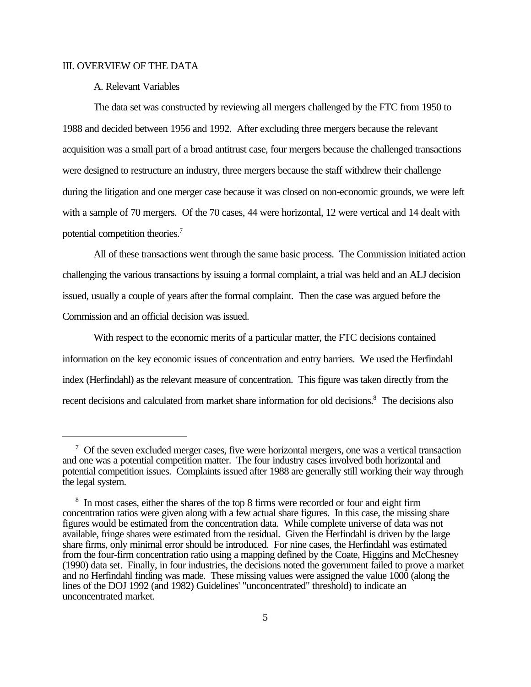### III. OVERVIEW OF THE DATA

### A. Relevant Variables

The data set was constructed by reviewing all mergers challenged by the FTC from 1950 to 1988 and decided between 1956 and 1992. After excluding three mergers because the relevant acquisition was a small part of a broad antitrust case, four mergers because the challenged transactions were designed to restructure an industry, three mergers because the staff withdrew their challenge during the litigation and one merger case because it was closed on non-economic grounds, we were left with a sample of 70 mergers. Of the 70 cases, 44 were horizontal, 12 were vertical and 14 dealt with potential competition theories.<sup>7</sup>

All of these transactions went through the same basic process. The Commission initiated action challenging the various transactions by issuing a formal complaint, a trial was held and an ALJ decision issued, usually a couple of years after the formal complaint. Then the case was argued before the Commission and an official decision was issued.

With respect to the economic merits of a particular matter, the FTC decisions contained information on the key economic issues of concentration and entry barriers. We used the Herfindahl index (Herfindahl) as the relevant measure of concentration. This figure was taken directly from the recent decisions and calculated from market share information for old decisions.<sup>8</sup> The decisions also

<sup>&</sup>lt;sup>7</sup> Of the seven excluded merger cases, five were horizontal mergers, one was a vertical transaction and one was a potential competition matter. The four industry cases involved both horizontal and potential competition issues. Complaints issued after 1988 are generally still working their way through the legal system.

<sup>&</sup>lt;sup>8</sup> In most cases, either the shares of the top 8 firms were recorded or four and eight firm concentration ratios were given along with a few actual share figures. In this case, the missing share figures would be estimated from the concentration data. While complete universe of data was not available, fringe shares were estimated from the residual. Given the Herfindahl is driven by the large share firms, only minimal error should be introduced. For nine cases, the Herfindahl was estimated from the four-firm concentration ratio using a mapping defined by the Coate, Higgins and McChesney (1990) data set. Finally, in four industries, the decisions noted the government failed to prove a market and no Herfindahl finding was made. These missing values were assigned the value 1000 (along the lines of the DOJ 1992 (and 1982) Guidelines' "unconcentrated" threshold) to indicate an unconcentrated market.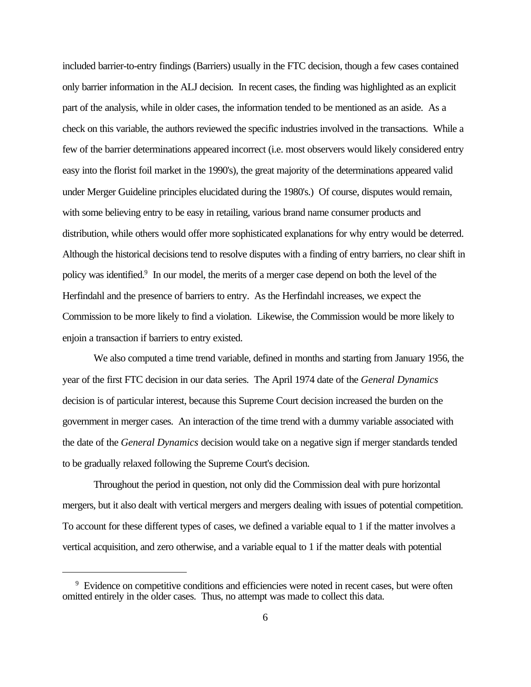included barrier-to-entry findings (Barriers) usually in the FTC decision, though a few cases contained only barrier information in the ALJ decision. In recent cases, the finding was highlighted as an explicit part of the analysis, while in older cases, the information tended to be mentioned as an aside. As a check on this variable, the authors reviewed the specific industries involved in the transactions. While a few of the barrier determinations appeared incorrect (i.e. most observers would likely considered entry easy into the florist foil market in the 1990's), the great majority of the determinations appeared valid under Merger Guideline principles elucidated during the 1980's.) Of course, disputes would remain, with some believing entry to be easy in retailing, various brand name consumer products and distribution, while others would offer more sophisticated explanations for why entry would be deterred. Although the historical decisions tend to resolve disputes with a finding of entry barriers, no clear shift in policy was identified.<sup>9</sup> In our model, the merits of a merger case depend on both the level of the Herfindahl and the presence of barriers to entry. As the Herfindahl increases, we expect the Commission to be more likely to find a violation. Likewise, the Commission would be more likely to enjoin a transaction if barriers to entry existed.

We also computed a time trend variable, defined in months and starting from January 1956, the year of the first FTC decision in our data series. The April 1974 date of the *General Dynamics* decision is of particular interest, because this Supreme Court decision increased the burden on the government in merger cases. An interaction of the time trend with a dummy variable associated with the date of the *General Dynamics* decision would take on a negative sign if merger standards tended to be gradually relaxed following the Supreme Court's decision.

Throughout the period in question, not only did the Commission deal with pure horizontal mergers, but it also dealt with vertical mergers and mergers dealing with issues of potential competition. To account for these different types of cases, we defined a variable equal to 1 if the matter involves a vertical acquisition, and zero otherwise, and a variable equal to 1 if the matter deals with potential

<sup>&</sup>lt;sup>9</sup> Evidence on competitive conditions and efficiencies were noted in recent cases, but were often omitted entirely in the older cases. Thus, no attempt was made to collect this data.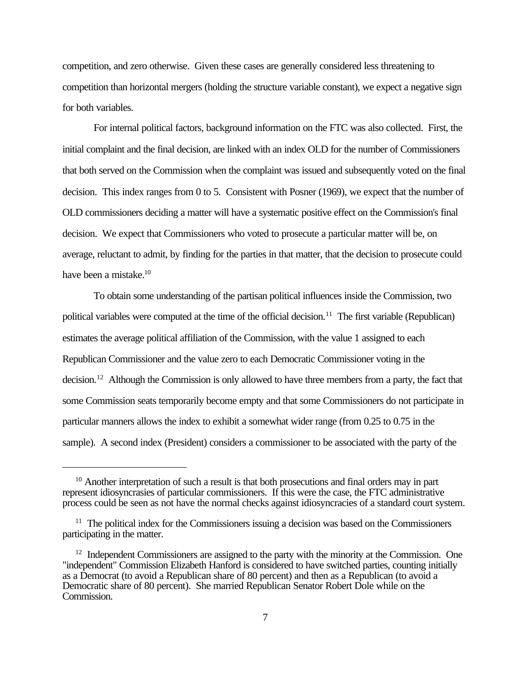competition, and zero otherwise. Given these cases are generally considered less threatening to competition than horizontal mergers (holding the structure variable constant), we expect a negative sign for both variables.

For internal political factors, background information on the FTC was also collected. First, the initial complaint and the final decision, are linked with an index OLD for the number of Commissioners that both served on the Commission when the complaint was issued and subsequently voted on the final decision. This index ranges from 0 to 5. Consistent with Posner (1969), we expect that the number of OLD commissioners deciding a matter will have a systematic positive effect on the Commission's final decision. We expect that Commissioners who voted to prosecute a particular matter will be, on average, reluctant to admit, by finding for the parties in that matter, that the decision to prosecute could have been a mistake.<sup>10</sup>

To obtain some understanding of the partisan political influences inside the Commission, two political variables were computed at the time of the official decision.<sup>11</sup> The first variable (Republican) estimates the average political affiliation of the Commission, with the value 1 assigned to each Republican Commissioner and the value zero to each Democratic Commissioner voting in the decision.<sup>12</sup> Although the Commission is only allowed to have three members from a party, the fact that some Commission seats temporarily become empty and that some Commissioners do not participate in particular manners allows the index to exhibit a somewhat wider range (from 0.25 to 0.75 in the sample). A second index (President) considers a commissioner to be associated with the party of the

<sup>&</sup>lt;sup>10</sup> Another interpretation of such a result is that both prosecutions and final orders may in part represent idiosyncrasies of particular commissioners. If this were the case, the FTC administrative process could be seen as not have the normal checks against idiosyncracies of a standard court system.

 $11$  The political index for the Commissioners issuing a decision was based on the Commissioners participating in the matter.

 $12$  Independent Commissioners are assigned to the party with the minority at the Commission. One "independent" Commission Elizabeth Hanford is considered to have switched parties, counting initially as a Democrat (to avoid a Republican share of 80 percent) and then as a Republican (to avoid a Democratic share of 80 percent). She married Republican Senator Robert Dole while on the Commission.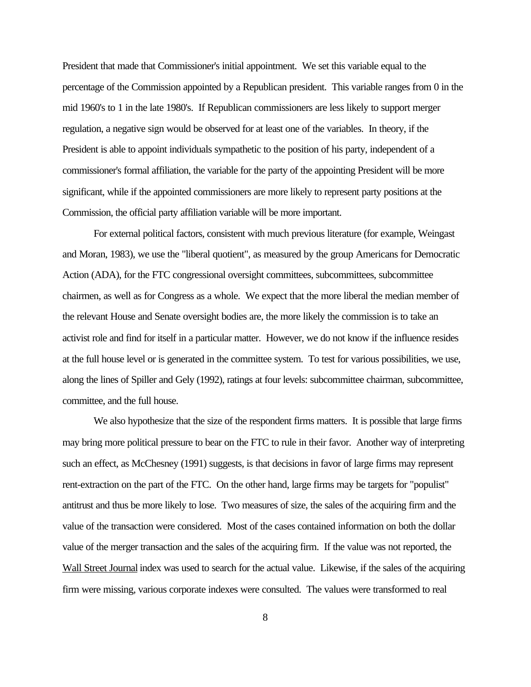President that made that Commissioner's initial appointment. We set this variable equal to the percentage of the Commission appointed by a Republican president. This variable ranges from 0 in the mid 1960's to 1 in the late 1980's. If Republican commissioners are less likely to support merger regulation, a negative sign would be observed for at least one of the variables. In theory, if the President is able to appoint individuals sympathetic to the position of his party, independent of a commissioner's formal affiliation, the variable for the party of the appointing President will be more significant, while if the appointed commissioners are more likely to represent party positions at the Commission, the official party affiliation variable will be more important.

For external political factors, consistent with much previous literature (for example, Weingast and Moran, 1983), we use the "liberal quotient", as measured by the group Americans for Democratic Action (ADA), for the FTC congressional oversight committees, subcommittees, subcommittee chairmen, as well as for Congress as a whole. We expect that the more liberal the median member of the relevant House and Senate oversight bodies are, the more likely the commission is to take an activist role and find for itself in a particular matter. However, we do not know if the influence resides at the full house level or is generated in the committee system. To test for various possibilities, we use, along the lines of Spiller and Gely (1992), ratings at four levels: subcommittee chairman, subcommittee, committee, and the full house.

We also hypothesize that the size of the respondent firms matters. It is possible that large firms may bring more political pressure to bear on the FTC to rule in their favor. Another way of interpreting such an effect, as McChesney (1991) suggests, is that decisions in favor of large firms may represent rent-extraction on the part of the FTC. On the other hand, large firms may be targets for "populist" antitrust and thus be more likely to lose. Two measures of size, the sales of the acquiring firm and the value of the transaction were considered. Most of the cases contained information on both the dollar value of the merger transaction and the sales of the acquiring firm. If the value was not reported, the Wall Street Journal index was used to search for the actual value. Likewise, if the sales of the acquiring firm were missing, various corporate indexes were consulted. The values were transformed to real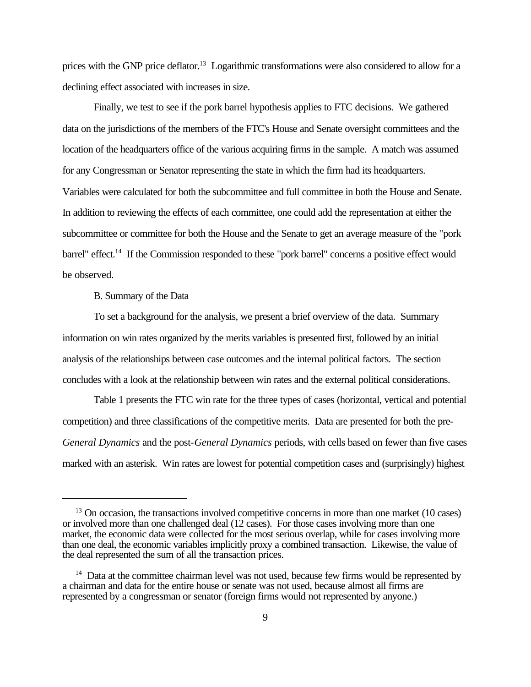prices with the GNP price deflator.<sup>13</sup> Logarithmic transformations were also considered to allow for a declining effect associated with increases in size.

Finally, we test to see if the pork barrel hypothesis applies to FTC decisions. We gathered data on the jurisdictions of the members of the FTC's House and Senate oversight committees and the location of the headquarters office of the various acquiring firms in the sample. A match was assumed for any Congressman or Senator representing the state in which the firm had its headquarters. Variables were calculated for both the subcommittee and full committee in both the House and Senate. In addition to reviewing the effects of each committee, one could add the representation at either the subcommittee or committee for both the House and the Senate to get an average measure of the "pork barrel" effect.<sup>14</sup> If the Commission responded to these "pork barrel" concerns a positive effect would be observed.

B. Summary of the Data

To set a background for the analysis, we present a brief overview of the data. Summary information on win rates organized by the merits variables is presented first, followed by an initial analysis of the relationships between case outcomes and the internal political factors. The section concludes with a look at the relationship between win rates and the external political considerations.

Table 1 presents the FTC win rate for the three types of cases (horizontal, vertical and potential competition) and three classifications of the competitive merits. Data are presented for both the pre-*General Dynamics* and the post-*General Dynamics* periods, with cells based on fewer than five cases marked with an asterisk. Win rates are lowest for potential competition cases and (surprisingly) highest

<sup>&</sup>lt;sup>13</sup> On occasion, the transactions involved competitive concerns in more than one market (10 cases) or involved more than one challenged deal (12 cases). For those cases involving more than one market, the economic data were collected for the most serious overlap, while for cases involving more than one deal, the economic variables implicitly proxy a combined transaction. Likewise, the value of the deal represented the sum of all the transaction prices.

<sup>&</sup>lt;sup>14</sup> Data at the committee chairman level was not used, because few firms would be represented by a chairman and data for the entire house or senate was not used, because almost all firms are represented by a congressman or senator (foreign firms would not represented by anyone.)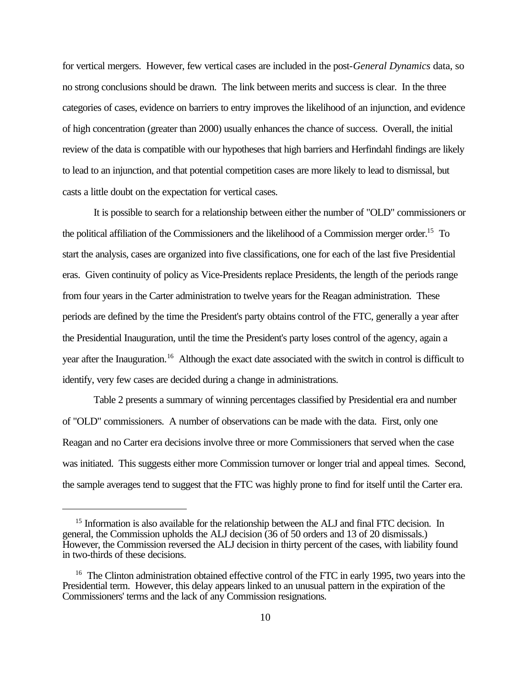for vertical mergers. However, few vertical cases are included in the post-*General Dynamics* data, so no strong conclusions should be drawn. The link between merits and success is clear. In the three categories of cases, evidence on barriers to entry improves the likelihood of an injunction, and evidence of high concentration (greater than 2000) usually enhances the chance of success. Overall, the initial review of the data is compatible with our hypotheses that high barriers and Herfindahl findings are likely to lead to an injunction, and that potential competition cases are more likely to lead to dismissal, but casts a little doubt on the expectation for vertical cases.

It is possible to search for a relationship between either the number of "OLD" commissioners or the political affiliation of the Commissioners and the likelihood of a Commission merger order.<sup>15</sup> To start the analysis, cases are organized into five classifications, one for each of the last five Presidential eras. Given continuity of policy as Vice-Presidents replace Presidents, the length of the periods range from four years in the Carter administration to twelve years for the Reagan administration. These periods are defined by the time the President's party obtains control of the FTC, generally a year after the Presidential Inauguration, until the time the President's party loses control of the agency, again a year after the Inauguration.<sup>16</sup> Although the exact date associated with the switch in control is difficult to identify, very few cases are decided during a change in administrations.

Table 2 presents a summary of winning percentages classified by Presidential era and number of "OLD" commissioners. A number of observations can be made with the data. First, only one Reagan and no Carter era decisions involve three or more Commissioners that served when the case was initiated. This suggests either more Commission turnover or longer trial and appeal times. Second, the sample averages tend to suggest that the FTC was highly prone to find for itself until the Carter era.

<sup>&</sup>lt;sup>15</sup> Information is also available for the relationship between the ALJ and final FTC decision. In general, the Commission upholds the ALJ decision (36 of 50 orders and 13 of 20 dismissals.) However, the Commission reversed the ALJ decision in thirty percent of the cases, with liability found in two-thirds of these decisions.

<sup>&</sup>lt;sup>16</sup> The Clinton administration obtained effective control of the FTC in early 1995, two years into the Presidential term. However, this delay appears linked to an unusual pattern in the expiration of the Commissioners' terms and the lack of any Commission resignations.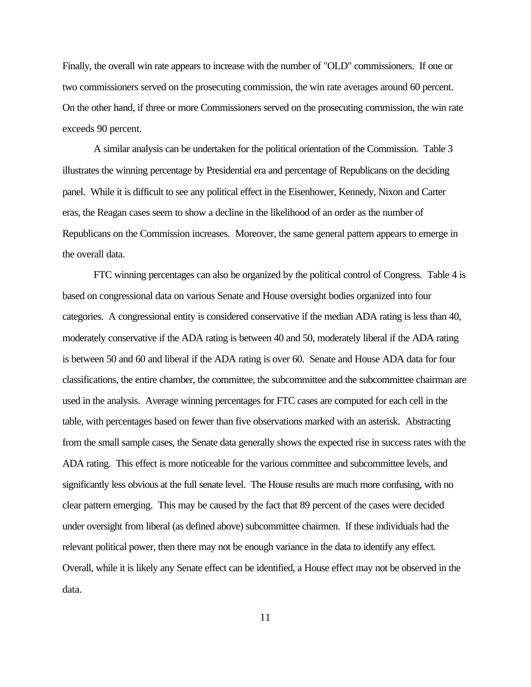Finally, the overall win rate appears to increase with the number of "OLD" commissioners. If one or two commissioners served on the prosecuting commission, the win rate averages around 60 percent. On the other hand, if three or more Commissioners served on the prosecuting commission, the win rate exceeds 90 percent.

A similar analysis can be undertaken for the political orientation of the Commission. Table 3 illustrates the winning percentage by Presidential era and percentage of Republicans on the deciding panel. While it is difficult to see any political effect in the Eisenhower, Kennedy, Nixon and Carter eras, the Reagan cases seem to show a decline in the likelihood of an order as the number of Republicans on the Commission increases. Moreover, the same general pattern appears to emerge in the overall data.

FTC winning percentages can also be organized by the political control of Congress. Table 4 is based on congressional data on various Senate and House oversight bodies organized into four categories. A congressional entity is considered conservative if the median ADA rating is less than 40, moderately conservative if the ADA rating is between 40 and 50, moderately liberal if the ADA rating is between 50 and 60 and liberal if the ADA rating is over 60. Senate and House ADA data for four classifications, the entire chamber, the committee, the subcommittee and the subcommittee chairman are used in the analysis. Average winning percentages for FTC cases are computed for each cell in the table, with percentages based on fewer than five observations marked with an asterisk. Abstracting from the small sample cases, the Senate data generally shows the expected rise in success rates with the ADA rating. This effect is more noticeable for the various committee and subcommittee levels, and significantly less obvious at the full senate level. The House results are much more confusing, with no clear pattern emerging. This may be caused by the fact that 89 percent of the cases were decided under oversight from liberal (as defined above) subcommittee chairmen. If these individuals had the relevant political power, then there may not be enough variance in the data to identify any effect. Overall, while it is likely any Senate effect can be identified, a House effect may not be observed in the data.

11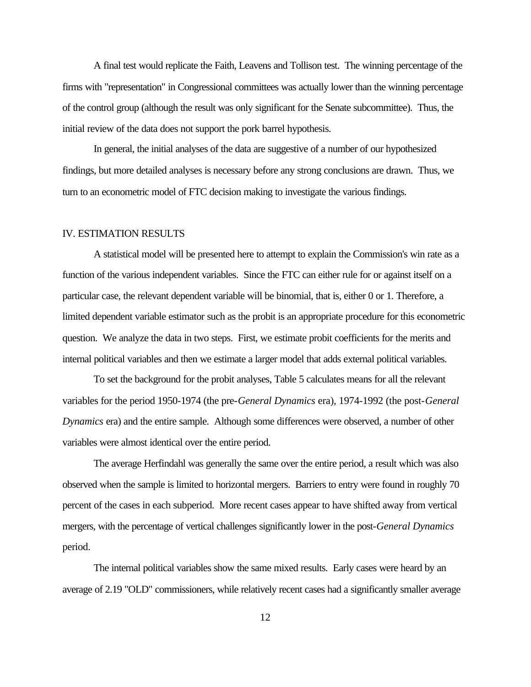A final test would replicate the Faith, Leavens and Tollison test. The winning percentage of the firms with "representation" in Congressional committees was actually lower than the winning percentage of the control group (although the result was only significant for the Senate subcommittee). Thus, the initial review of the data does not support the pork barrel hypothesis.

In general, the initial analyses of the data are suggestive of a number of our hypothesized findings, but more detailed analyses is necessary before any strong conclusions are drawn. Thus, we turn to an econometric model of FTC decision making to investigate the various findings.

### IV. ESTIMATION RESULTS

A statistical model will be presented here to attempt to explain the Commission's win rate as a function of the various independent variables. Since the FTC can either rule for or against itself on a particular case, the relevant dependent variable will be binomial, that is, either 0 or 1. Therefore, a limited dependent variable estimator such as the probit is an appropriate procedure for this econometric question. We analyze the data in two steps. First, we estimate probit coefficients for the merits and internal political variables and then we estimate a larger model that adds external political variables.

To set the background for the probit analyses, Table 5 calculates means for all the relevant variables for the period 1950-1974 (the pre-*General Dynamics* era), 1974-1992 (the post-*General Dynamics* era) and the entire sample. Although some differences were observed, a number of other variables were almost identical over the entire period.

The average Herfindahl was generally the same over the entire period, a result which was also observed when the sample is limited to horizontal mergers. Barriers to entry were found in roughly 70 percent of the cases in each subperiod. More recent cases appear to have shifted away from vertical mergers, with the percentage of vertical challenges significantly lower in the post-*General Dynamics* period.

The internal political variables show the same mixed results. Early cases were heard by an average of 2.19 "OLD" commissioners, while relatively recent cases had a significantly smaller average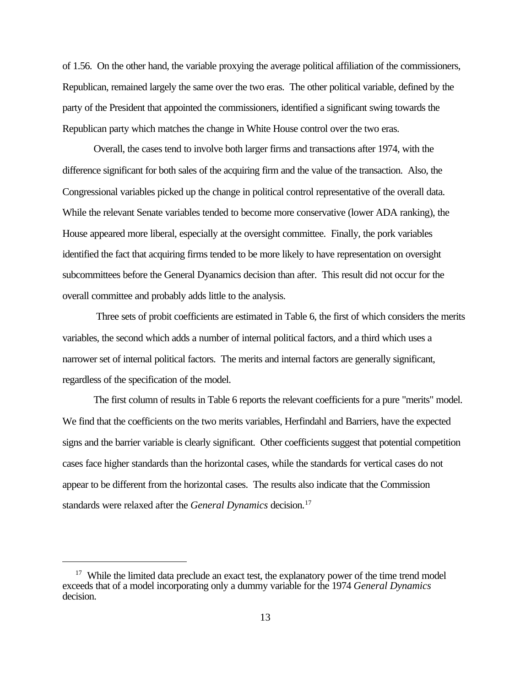of 1.56. On the other hand, the variable proxying the average political affiliation of the commissioners, Republican, remained largely the same over the two eras. The other political variable, defined by the party of the President that appointed the commissioners, identified a significant swing towards the Republican party which matches the change in White House control over the two eras.

Overall, the cases tend to involve both larger firms and transactions after 1974, with the difference significant for both sales of the acquiring firm and the value of the transaction. Also, the Congressional variables picked up the change in political control representative of the overall data. While the relevant Senate variables tended to become more conservative (lower ADA ranking), the House appeared more liberal, especially at the oversight committee. Finally, the pork variables identified the fact that acquiring firms tended to be more likely to have representation on oversight subcommittees before the General Dyanamics decision than after. This result did not occur for the overall committee and probably adds little to the analysis.

 Three sets of probit coefficients are estimated in Table 6, the first of which considers the merits variables, the second which adds a number of internal political factors, and a third which uses a narrower set of internal political factors. The merits and internal factors are generally significant, regardless of the specification of the model.

The first column of results in Table 6 reports the relevant coefficients for a pure "merits" model. We find that the coefficients on the two merits variables, Herfindahl and Barriers, have the expected signs and the barrier variable is clearly significant. Other coefficients suggest that potential competition cases face higher standards than the horizontal cases, while the standards for vertical cases do not appear to be different from the horizontal cases. The results also indicate that the Commission standards were relaxed after the *General Dynamics* decision.<sup>17</sup>

<sup>&</sup>lt;sup>17</sup> While the limited data preclude an exact test, the explanatory power of the time trend model exceeds that of a model incorporating only a dummy variable for the 1974 *General Dynamics* decision.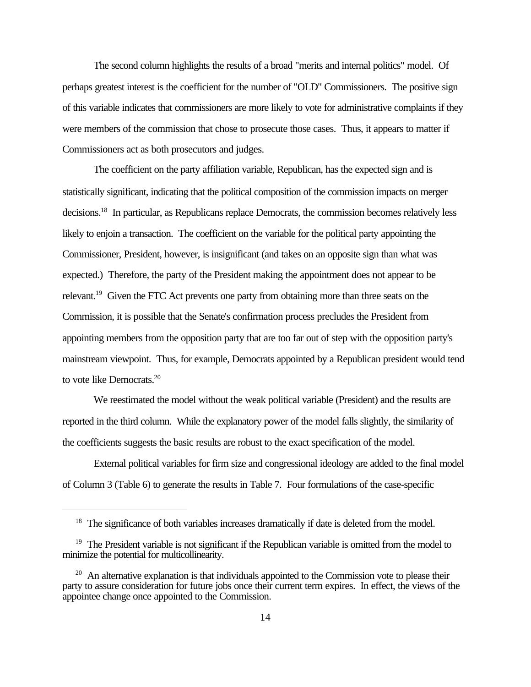The second column highlights the results of a broad "merits and internal politics" model. Of perhaps greatest interest is the coefficient for the number of "OLD" Commissioners. The positive sign of this variable indicates that commissioners are more likely to vote for administrative complaints if they were members of the commission that chose to prosecute those cases. Thus, it appears to matter if Commissioners act as both prosecutors and judges.

The coefficient on the party affiliation variable, Republican, has the expected sign and is statistically significant, indicating that the political composition of the commission impacts on merger decisions.<sup>18</sup> In particular, as Republicans replace Democrats, the commission becomes relatively less likely to enjoin a transaction. The coefficient on the variable for the political party appointing the Commissioner, President, however, is insignificant (and takes on an opposite sign than what was expected.) Therefore, the party of the President making the appointment does not appear to be relevant.<sup>19</sup> Given the FTC Act prevents one party from obtaining more than three seats on the Commission, it is possible that the Senate's confirmation process precludes the President from appointing members from the opposition party that are too far out of step with the opposition party's mainstream viewpoint. Thus, for example, Democrats appointed by a Republican president would tend to vote like Democrats.<sup>20</sup>

We reestimated the model without the weak political variable (President) and the results are reported in the third column. While the explanatory power of the model falls slightly, the similarity of the coefficients suggests the basic results are robust to the exact specification of the model.

External political variables for firm size and congressional ideology are added to the final model of Column 3 (Table 6) to generate the results in Table 7. Four formulations of the case-specific

<sup>&</sup>lt;sup>18</sup> The significance of both variables increases dramatically if date is deleted from the model.

<sup>&</sup>lt;sup>19</sup> The President variable is not significant if the Republican variable is omitted from the model to minimize the potential for multicollinearity.

 $20$  An alternative explanation is that individuals appointed to the Commission vote to please their party to assure consideration for future jobs once their current term expires. In effect, the views of the appointee change once appointed to the Commission.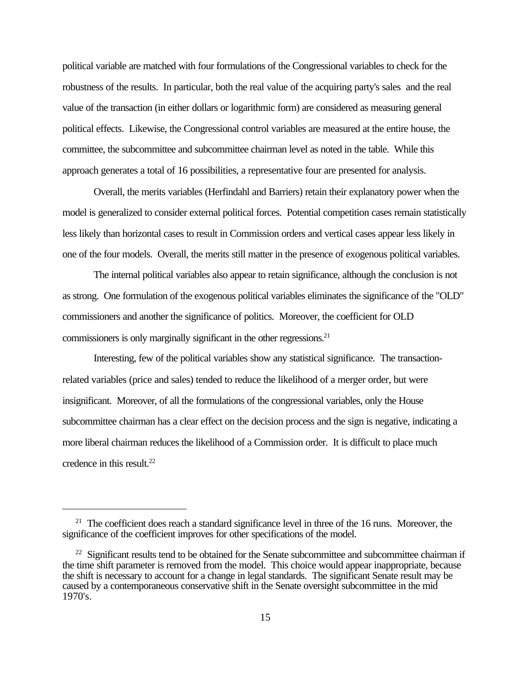political variable are matched with four formulations of the Congressional variables to check for the robustness of the results. In particular, both the real value of the acquiring party's sales and the real value of the transaction (in either dollars or logarithmic form) are considered as measuring general political effects. Likewise, the Congressional control variables are measured at the entire house, the committee, the subcommittee and subcommittee chairman level as noted in the table. While this approach generates a total of 16 possibilities, a representative four are presented for analysis.

Overall, the merits variables (Herfindahl and Barriers) retain their explanatory power when the model is generalized to consider external political forces. Potential competition cases remain statistically less likely than horizontal cases to result in Commission orders and vertical cases appear less likely in one of the four models. Overall, the merits still matter in the presence of exogenous political variables.

The internal political variables also appear to retain significance, although the conclusion is not as strong. One formulation of the exogenous political variables eliminates the significance of the "OLD" commissioners and another the significance of politics. Moreover, the coefficient for OLD commissioners is only marginally significant in the other regressions. $21$ 

Interesting, few of the political variables show any statistical significance. The transactionrelated variables (price and sales) tended to reduce the likelihood of a merger order, but were insignificant. Moreover, of all the formulations of the congressional variables, only the House subcommittee chairman has a clear effect on the decision process and the sign is negative, indicating a more liberal chairman reduces the likelihood of a Commission order. It is difficult to place much credence in this result. $22$ 

<sup>&</sup>lt;sup>21</sup> The coefficient does reach a standard significance level in three of the 16 runs. Moreover, the significance of the coefficient improves for other specifications of the model.

 $22$  Significant results tend to be obtained for the Senate subcommittee and subcommittee chairman if the time shift parameter is removed from the model. This choice would appear inappropriate, because the shift is necessary to account for a change in legal standards. The significant Senate result may be caused by a contemporaneous conservative shift in the Senate oversight subcommittee in the mid 1970's.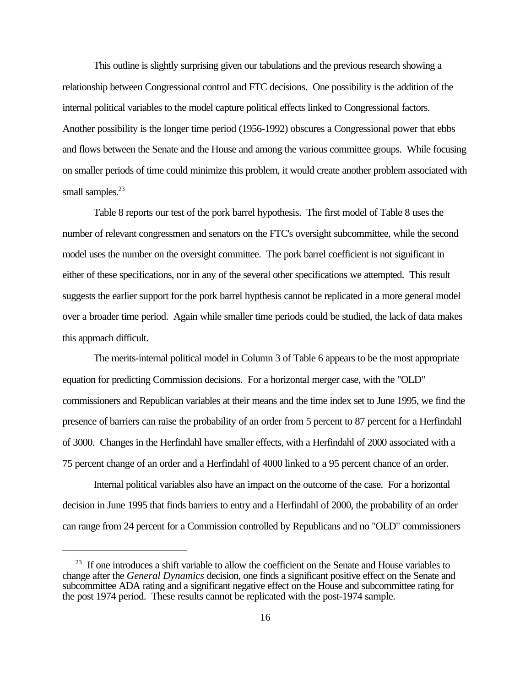This outline is slightly surprising given our tabulations and the previous research showing a relationship between Congressional control and FTC decisions. One possibility is the addition of the internal political variables to the model capture political effects linked to Congressional factors. Another possibility is the longer time period (1956-1992) obscures a Congressional power that ebbs and flows between the Senate and the House and among the various committee groups. While focusing on smaller periods of time could minimize this problem, it would create another problem associated with small samples.<sup>23</sup>

Table 8 reports our test of the pork barrel hypothesis. The first model of Table 8 uses the number of relevant congressmen and senators on the FTC's oversight subcommittee, while the second model uses the number on the oversight committee. The pork barrel coefficient is not significant in either of these specifications, nor in any of the several other specifications we attempted. This result suggests the earlier support for the pork barrel hypthesis cannot be replicated in a more general model over a broader time period. Again while smaller time periods could be studied, the lack of data makes this approach difficult.

The merits-internal political model in Column 3 of Table 6 appears to be the most appropriate equation for predicting Commission decisions. For a horizontal merger case, with the "OLD" commissioners and Republican variables at their means and the time index set to June 1995, we find the presence of barriers can raise the probability of an order from 5 percent to 87 percent for a Herfindahl of 3000. Changes in the Herfindahl have smaller effects, with a Herfindahl of 2000 associated with a 75 percent change of an order and a Herfindahl of 4000 linked to a 95 percent chance of an order.

Internal political variables also have an impact on the outcome of the case. For a horizontal decision in June 1995 that finds barriers to entry and a Herfindahl of 2000, the probability of an order can range from 24 percent for a Commission controlled by Republicans and no "OLD" commissioners

<sup>&</sup>lt;sup>23</sup> If one introduces a shift variable to allow the coefficient on the Senate and House variables to change after the *General Dynamics* decision, one finds a significant positive effect on the Senate and subcommittee ADA rating and a significant negative effect on the House and subcommittee rating for the post 1974 period. These results cannot be replicated with the post-1974 sample.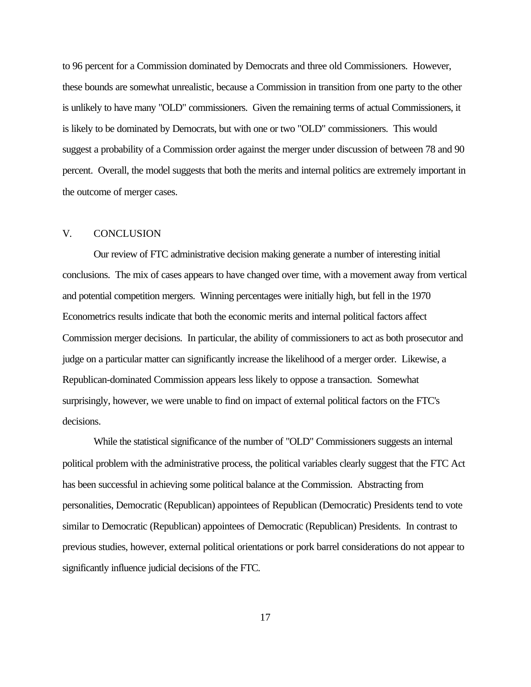to 96 percent for a Commission dominated by Democrats and three old Commissioners. However, these bounds are somewhat unrealistic, because a Commission in transition from one party to the other is unlikely to have many "OLD" commissioners. Given the remaining terms of actual Commissioners, it is likely to be dominated by Democrats, but with one or two "OLD" commissioners. This would suggest a probability of a Commission order against the merger under discussion of between 78 and 90 percent. Overall, the model suggests that both the merits and internal politics are extremely important in the outcome of merger cases.

### V. CONCLUSION

Our review of FTC administrative decision making generate a number of interesting initial conclusions. The mix of cases appears to have changed over time, with a movement away from vertical and potential competition mergers. Winning percentages were initially high, but fell in the 1970 Econometrics results indicate that both the economic merits and internal political factors affect Commission merger decisions. In particular, the ability of commissioners to act as both prosecutor and judge on a particular matter can significantly increase the likelihood of a merger order. Likewise, a Republican-dominated Commission appears less likely to oppose a transaction. Somewhat surprisingly, however, we were unable to find on impact of external political factors on the FTC's decisions.

While the statistical significance of the number of "OLD" Commissioners suggests an internal political problem with the administrative process, the political variables clearly suggest that the FTC Act has been successful in achieving some political balance at the Commission. Abstracting from personalities, Democratic (Republican) appointees of Republican (Democratic) Presidents tend to vote similar to Democratic (Republican) appointees of Democratic (Republican) Presidents. In contrast to previous studies, however, external political orientations or pork barrel considerations do not appear to significantly influence judicial decisions of the FTC.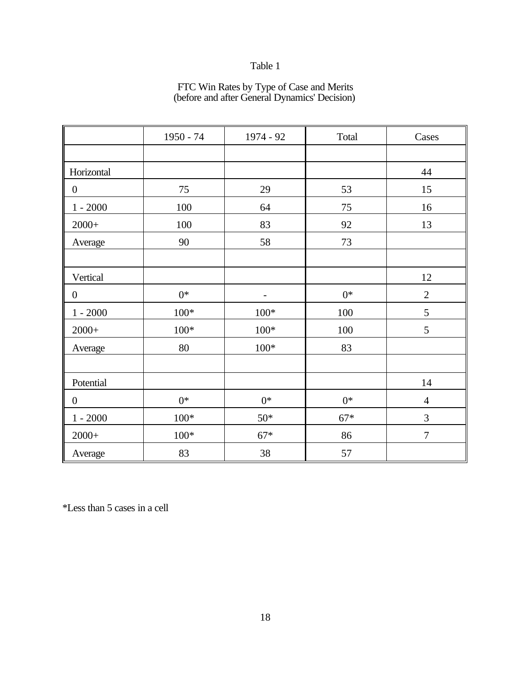### FTC Win Rates by Type of Case and Merits (before and after General Dynamics' Decision)

|                  | $1950 - 74$ | 1974 - 92 | Total | Cases          |
|------------------|-------------|-----------|-------|----------------|
|                  |             |           |       |                |
| Horizontal       |             |           |       | 44             |
| $\boldsymbol{0}$ | 75          | 29        | 53    | 15             |
| $1 - 2000$       | 100         | 64        | 75    | 16             |
| $2000+$          | 100         | 83        | 92    | 13             |
| Average          | 90          | 58        | 73    |                |
|                  |             |           |       |                |
| Vertical         |             |           |       | 12             |
| $\boldsymbol{0}$ | $0*$        |           | $0*$  | $\overline{2}$ |
| $1 - 2000$       | $100*$      | $100*$    | 100   | 5              |
| $2000+$          | $100*$      | $100*$    | 100   | 5              |
| Average          | 80          | $100*$    | 83    |                |
|                  |             |           |       |                |
| Potential        |             |           |       | 14             |
| $\boldsymbol{0}$ | $0*$        | $0*$      | $0*$  | $\overline{4}$ |
| $1 - 2000$       | $100*$      | $50*$     | $67*$ | 3              |
| $2000+$          | $100*$      | $67*$     | 86    | $\overline{7}$ |
| Average          | 83          | 38        | 57    |                |

\*Less than 5 cases in a cell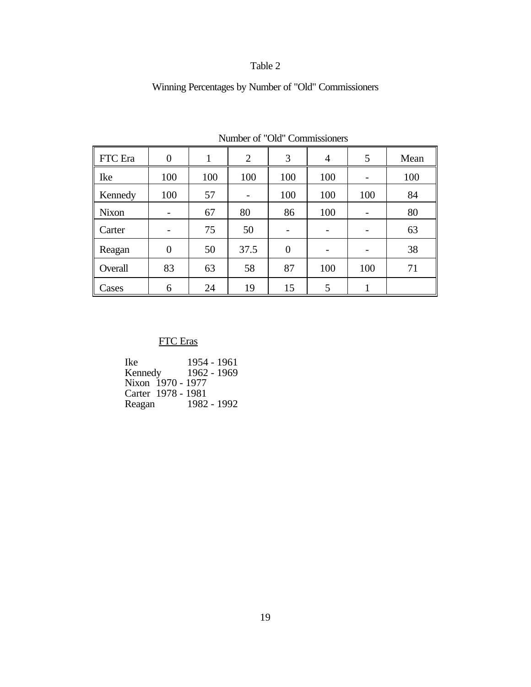# Winning Percentages by Number of "Old" Commissioners

| FTC Era      | $\overline{0}$ |     | 2    | 3              | 4   | 5                        | Mean |
|--------------|----------------|-----|------|----------------|-----|--------------------------|------|
| Ike          | 100            | 100 | 100  | 100            | 100 | $\overline{\phantom{0}}$ | 100  |
| Kennedy      | 100            | 57  |      | 100            | 100 | 100                      | 84   |
| <b>Nixon</b> |                | 67  | 80   | 86             | 100 |                          | 80   |
| Carter       |                | 75  | 50   | -              | -   | -                        | 63   |
| Reagan       | $\overline{0}$ | 50  | 37.5 | $\overline{0}$ |     |                          | 38   |
| Overall      | 83             | 63  | 58   | 87             | 100 | 100                      | 71   |
| Cases        | 6              | 24  | 19   | 15             | 5   |                          |      |

Number of "Old" Commissioners

## FTC Eras

Ike 1954 - 1961<br>Kennedy 1962 - 1969 Kennedy 1962 - 1969 Nixon 1970 - 1977 Carter 1978 - 1981 Reagan 1982 - 1992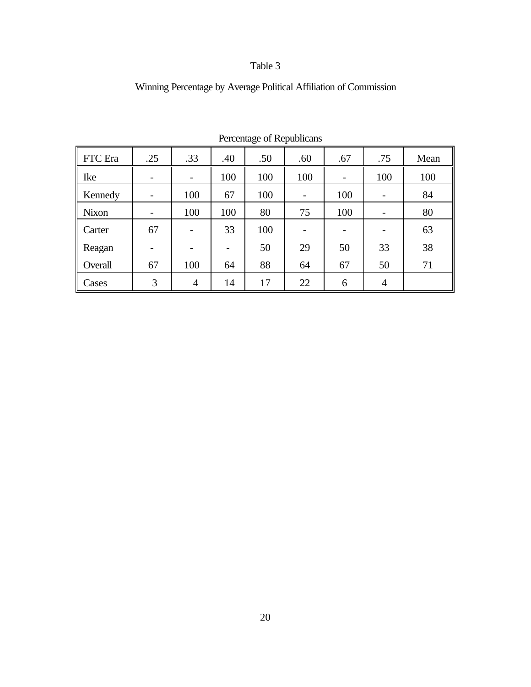| Percentage of Republicans |                          |                          |     |     |                          |                          |                          |      |
|---------------------------|--------------------------|--------------------------|-----|-----|--------------------------|--------------------------|--------------------------|------|
| FTC Era                   | .25                      | .33                      | .40 | .50 | .60                      | .67                      | .75                      | Mean |
| Ike                       | $\overline{\phantom{0}}$ | $\overline{\phantom{a}}$ | 100 | 100 | 100                      |                          | 100                      | 100  |
| Kennedy                   | $\overline{\phantom{0}}$ | 100                      | 67  | 100 | $\overline{\phantom{a}}$ | 100                      | $\overline{\phantom{0}}$ | 84   |
| <b>Nixon</b>              |                          | 100                      | 100 | 80  | 75                       | 100                      |                          | 80   |
| Carter                    | 67                       |                          | 33  | 100 |                          | $\overline{\phantom{a}}$ |                          | 63   |
| Reagan                    | $\overline{\phantom{0}}$ | $\overline{\phantom{0}}$ |     | 50  | 29                       | 50                       | 33                       | 38   |
| Overall                   | 67                       | 100                      | 64  | 88  | 64                       | 67                       | 50                       | 71   |
| Cases                     | 3                        | $\overline{4}$           | 14  | 17  | 22                       | 6                        | $\overline{4}$           |      |

## Winning Percentage by Average Political Affiliation of Commission

 $Percant and of  $Remubli$$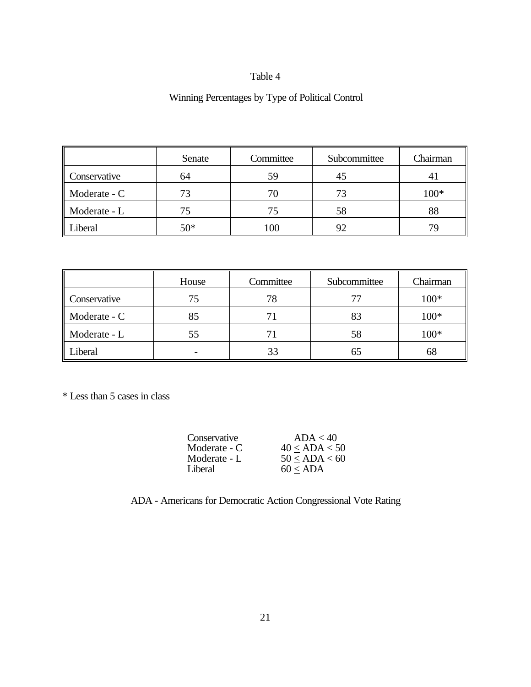## Winning Percentages by Type of Political Control

|              | Senate | Committee | Subcommittee | Chairman |
|--------------|--------|-----------|--------------|----------|
| Conservative | 64     | 59        | 45           | 4        |
| Moderate - C | 73     | 70        |              | $100*$   |
| Moderate - L | 75     |           | 58           | 88       |
| Liberal      | $50*$  | 100       | 92           | 79       |

|              | House | Committee | Subcommittee | Chairman |
|--------------|-------|-----------|--------------|----------|
| Conservative | 75    | 78        | 77           | $100*$   |
| Moderate - C | 85    |           | 83           | $100*$   |
| Moderate - L | 55    | 71        | 58           | $100*$   |
| Liberal      |       | 33        | 65           | 68       |

\* Less than 5 cases in class

| Conservative | ADA < 40      |
|--------------|---------------|
| Moderate - C | 40 < ADA < 50 |
| Moderate - L | 50 < ADA < 60 |
| Liberal      | $60 <$ ADA    |

## ADA - Americans for Democratic Action Congressional Vote Rating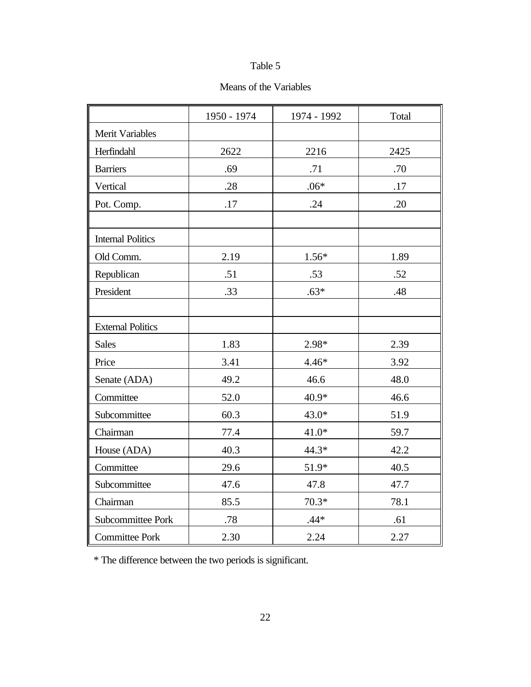## Means of the Variables

|                          | 1950 - 1974 | 1974 - 1992 | Total |
|--------------------------|-------------|-------------|-------|
| <b>Merit Variables</b>   |             |             |       |
| Herfindahl               | 2622        | 2216        | 2425  |
| <b>Barriers</b>          | .69         | .71         | .70   |
| Vertical                 | .28         | $.06*$      | .17   |
| Pot. Comp.               | .17         | .24         | .20   |
|                          |             |             |       |
| <b>Internal Politics</b> |             |             |       |
| Old Comm.                | 2.19        | $1.56*$     | 1.89  |
| Republican               | .51         | .53         | .52   |
| President                | .33         | $.63*$      | .48   |
|                          |             |             |       |
| <b>External Politics</b> |             |             |       |
| <b>Sales</b>             | 1.83        | 2.98*       | 2.39  |
| Price                    | 3.41        | $4.46*$     | 3.92  |
| Senate (ADA)             | 49.2        | 46.6        | 48.0  |
| Committee                | 52.0        | 40.9*       | 46.6  |
| Subcommittee             | 60.3        | 43.0*       | 51.9  |
| Chairman                 | 77.4        | $41.0*$     | 59.7  |
| House (ADA)              | 40.3        | $44.3*$     | 42.2  |
| Committee                | 29.6        | 51.9*       | 40.5  |
| Subcommittee             | 47.6        | 47.8        | 47.7  |
| Chairman                 | 85.5        | $70.3*$     | 78.1  |
| Subcommittee Pork        | .78         | $.44*$      | .61   |
| <b>Committee Pork</b>    | 2.30        | 2.24        | 2.27  |

\* The difference between the two periods is significant.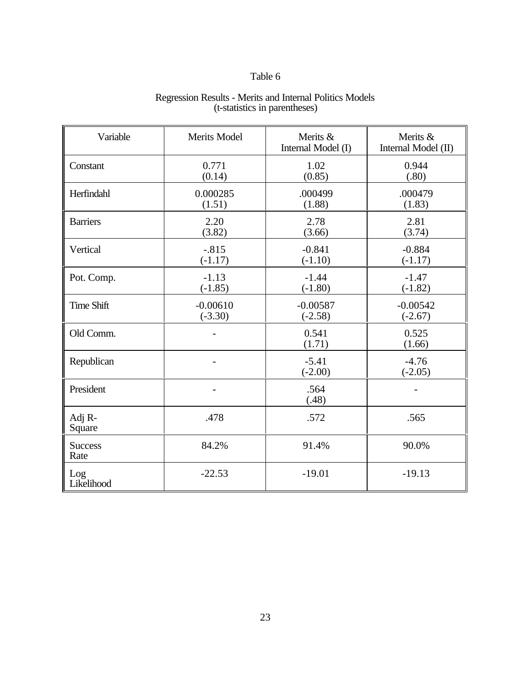| Variable               | <b>Merits Model</b>     | Merits &<br>Internal Model (I) | Merits &<br>Internal Model (II) |
|------------------------|-------------------------|--------------------------------|---------------------------------|
| Constant               | 0.771<br>(0.14)         | 1.02<br>(0.85)                 | 0.944<br>(.80)                  |
| Herfindahl             | 0.000285<br>(1.51)      | .000499<br>(1.88)              | .000479<br>(1.83)               |
| <b>Barriers</b>        | 2.20<br>(3.82)          | 2.78<br>(3.66)                 | 2.81<br>(3.74)                  |
| Vertical               | $-.815$<br>$(-1.17)$    | $-0.841$<br>$(-1.10)$          | $-0.884$<br>$(-1.17)$           |
| Pot. Comp.             | $-1.13$<br>$(-1.85)$    | $-1.44$<br>$(-1.80)$           | $-1.47$<br>$(-1.82)$            |
| <b>Time Shift</b>      | $-0.00610$<br>$(-3.30)$ | $-0.00587$<br>$(-2.58)$        | $-0.00542$<br>$(-2.67)$         |
| Old Comm.              |                         | 0.541<br>(1.71)                | 0.525<br>(1.66)                 |
| Republican             |                         | $-5.41$<br>$(-2.00)$           | $-4.76$<br>$(-2.05)$            |
| President              |                         | .564<br>(.48)                  |                                 |
| Adj R-<br>Square       | .478                    | .572                           | .565                            |
| <b>Success</b><br>Rate | 84.2%                   | 91.4%                          | 90.0%                           |
| Log<br>Likelihood      | $-22.53$                | $-19.01$                       | $-19.13$                        |

### Regression Results - Merits and Internal Politics Models (t-statistics in parentheses)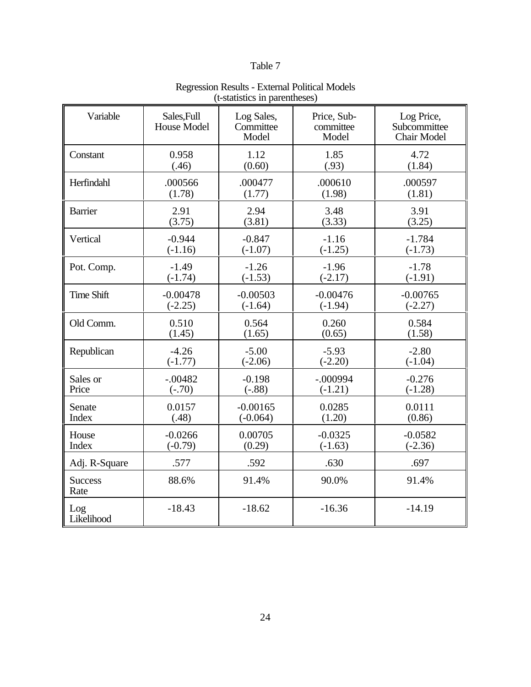| Variable               | Sales, Full<br>House Model | Log Sales,<br>Committee<br>Model | Price, Sub-<br>committee<br>Model | Log Price,<br>Subcommittee<br><b>Chair Model</b> |
|------------------------|----------------------------|----------------------------------|-----------------------------------|--------------------------------------------------|
| Constant               | 0.958                      | 1.12                             | 1.85                              | 4.72                                             |
|                        | (.46)                      | (0.60)                           | (.93)                             | (1.84)                                           |
| Herfindahl             | .000566                    | .000477                          | .000610                           | .000597                                          |
|                        | (1.78)                     | (1.77)                           | (1.98)                            | (1.81)                                           |
| <b>Barrier</b>         | 2.91                       | 2.94                             | 3.48                              | 3.91                                             |
|                        | (3.75)                     | (3.81)                           | (3.33)                            | (3.25)                                           |
| Vertical               | $-0.944$                   | $-0.847$                         | $-1.16$                           | $-1.784$                                         |
|                        | $(-1.16)$                  | $(-1.07)$                        | $(-1.25)$                         | $(-1.73)$                                        |
| Pot. Comp.             | $-1.49$                    | $-1.26$                          | $-1.96$                           | $-1.78$                                          |
|                        | $(-1.74)$                  | $(-1.53)$                        | $(-2.17)$                         | $(-1.91)$                                        |
| <b>Time Shift</b>      | $-0.00478$                 | $-0.00503$                       | $-0.00476$                        | $-0.00765$                                       |
|                        | $(-2.25)$                  | $(-1.64)$                        | $(-1.94)$                         | $(-2.27)$                                        |
| Old Comm.              | 0.510                      | 0.564                            | 0.260                             | 0.584                                            |
|                        | (1.45)                     | (1.65)                           | (0.65)                            | (1.58)                                           |
| Republican             | $-4.26$                    | $-5.00$                          | $-5.93$                           | $-2.80$                                          |
|                        | $(-1.77)$                  | $(-2.06)$                        | $(-2.20)$                         | $(-1.04)$                                        |
| Sales or               | $-.00482$                  | $-0.198$                         | $-.000994$                        | $-0.276$                                         |
| Price                  | $(-.70)$                   | $(-.88)$                         | $(-1.21)$                         | $(-1.28)$                                        |
| Senate                 | 0.0157                     | $-0.00165$                       | 0.0285                            | 0.0111                                           |
| Index                  | (.48)                      | $(-0.064)$                       | (1.20)                            | (0.86)                                           |
| House                  | $-0.0266$                  | 0.00705                          | $-0.0325$                         | $-0.0582$                                        |
| Index                  | $(-0.79)$                  | (0.29)                           | $(-1.63)$                         | $(-2.36)$                                        |
| Adj. R-Square          | .577                       | .592                             | .630                              | .697                                             |
| <b>Success</b><br>Rate | 88.6%                      | 91.4%                            | 90.0%                             | 91.4%                                            |
| Log<br>Likelihood      | $-18.43$                   | $-18.62$                         | $-16.36$                          | $-14.19$                                         |

### Regression Results - External Political Models (t-statistics in parentheses)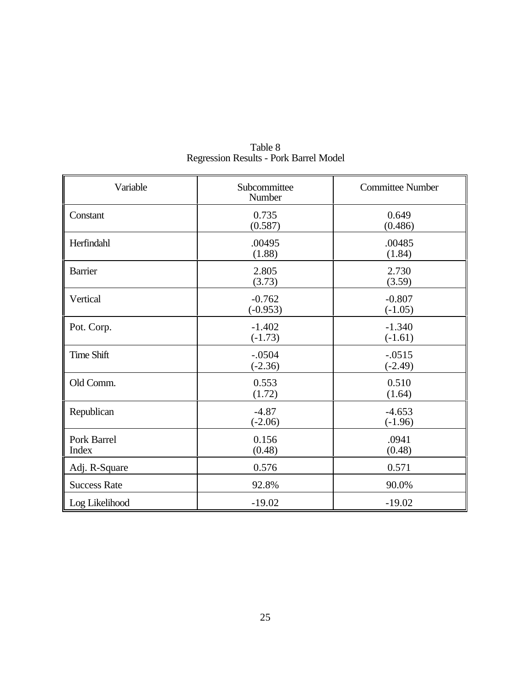| Variable                    | Subcommittee<br>Number | <b>Committee Number</b> |
|-----------------------------|------------------------|-------------------------|
| Constant                    | 0.735<br>(0.587)       | 0.649<br>(0.486)        |
| Herfindahl                  | .00495<br>(1.88)       | .00485<br>(1.84)        |
| <b>Barrier</b>              | 2.805<br>(3.73)        | 2.730<br>(3.59)         |
| Vertical                    | $-0.762$<br>$(-0.953)$ | $-0.807$<br>$(-1.05)$   |
| Pot. Corp.                  | $-1.402$<br>$(-1.73)$  | $-1.340$<br>$(-1.61)$   |
| <b>Time Shift</b>           | $-.0504$<br>$(-2.36)$  | $-.0515$<br>$(-2.49)$   |
| Old Comm.                   | 0.553<br>(1.72)        | 0.510<br>(1.64)         |
| Republican                  | $-4.87$<br>$(-2.06)$   | $-4.653$<br>$(-1.96)$   |
| Pork Barrel<br><b>Index</b> | 0.156<br>(0.48)        | .0941<br>(0.48)         |
| Adj. R-Square               | 0.576                  | 0.571                   |
| <b>Success Rate</b>         | 92.8%                  | 90.0%                   |
| Log Likelihood              | $-19.02$               | $-19.02$                |

Table 8 Regression Results - Pork Barrel Model